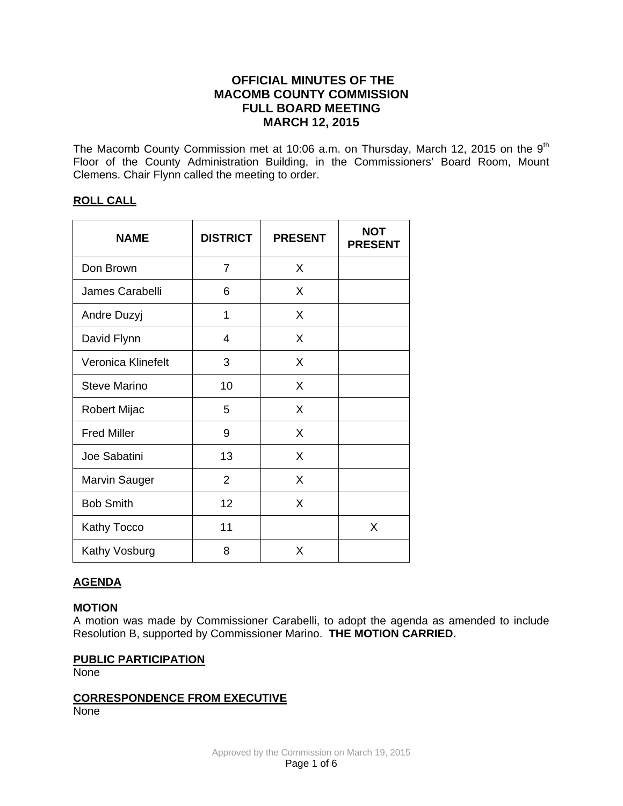# **OFFICIAL MINUTES OF THE MACOMB COUNTY COMMISSION FULL BOARD MEETING MARCH 12, 2015**

The Macomb County Commission met at 10:06 a.m. on Thursday, March 12, 2015 on the  $9<sup>th</sup>$ Floor of the County Administration Building, in the Commissioners' Board Room, Mount Clemens. Chair Flynn called the meeting to order.

# **ROLL CALL**

| <b>NAME</b>          | <b>DISTRICT</b> | <b>PRESENT</b> | <b>NOT</b><br><b>PRESENT</b> |
|----------------------|-----------------|----------------|------------------------------|
| Don Brown            | 7               | X              |                              |
| James Carabelli      | 6               | X              |                              |
| Andre Duzyj          | 1               | X              |                              |
| David Flynn          | 4               | X              |                              |
| Veronica Klinefelt   | 3               | X              |                              |
| <b>Steve Marino</b>  | 10              | X              |                              |
| <b>Robert Mijac</b>  | 5               | X              |                              |
| <b>Fred Miller</b>   | 9               | X              |                              |
| Joe Sabatini         | 13              | X              |                              |
| <b>Marvin Sauger</b> | $\overline{2}$  | X              |                              |
| <b>Bob Smith</b>     | 12              | X              |                              |
| Kathy Tocco          | 11              |                | X                            |
| Kathy Vosburg        | 8               | X              |                              |

# **AGENDA**

# **MOTION**

A motion was made by Commissioner Carabelli, to adopt the agenda as amended to include Resolution B, supported by Commissioner Marino. **THE MOTION CARRIED.** 

# **PUBLIC PARTICIPATION**

**None** 

#### **CORRESPONDENCE FROM EXECUTIVE** None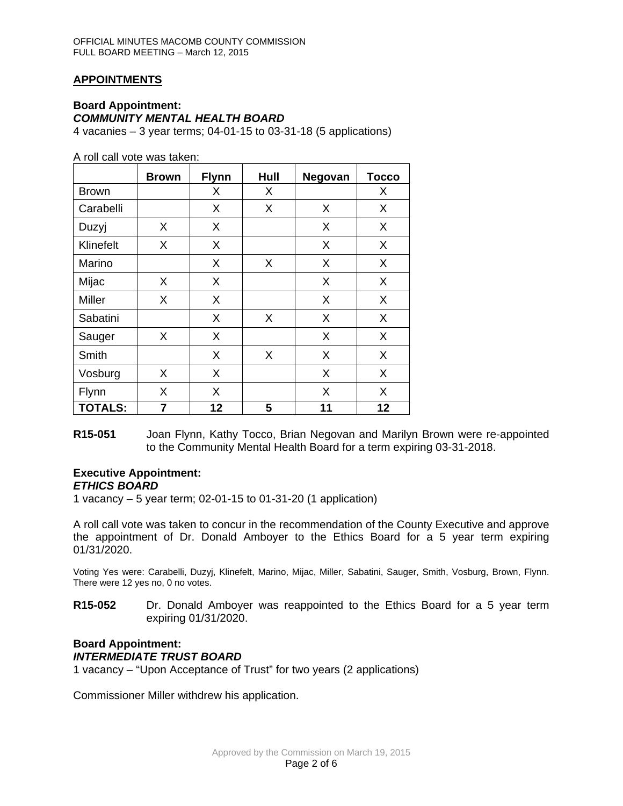# **APPOINTMENTS**

# **Board Appointment:** *COMMUNITY MENTAL HEALTH BOARD*

4 vacanies – 3 year terms; 04-01-15 to 03-31-18 (5 applications)

A roll call vote was taken:

|                | <b>Brown</b> | <b>Flynn</b> | Hull | Negovan | <b>Tocco</b> |
|----------------|--------------|--------------|------|---------|--------------|
| <b>Brown</b>   |              | X            | X    |         | X            |
| Carabelli      |              | Χ            | X    | X       | X            |
| Duzyj          | X            | X            |      | X       | X            |
| Klinefelt      | X            | X            |      | X       | X            |
| Marino         |              | X            | X    | X       | X            |
| Mijac          | X            | X            |      | X       | X            |
| Miller         | X            | X            |      | X       | X            |
| Sabatini       |              | X            | X    | X       | X            |
| Sauger         | X            | X            |      | X       | X            |
| Smith          |              | X            | X    | X       | X            |
| Vosburg        | X            | X            |      | X       | X            |
| Flynn          | X            | X            |      | X       | X            |
| <b>TOTALS:</b> | 7            | 12           | 5    | 11      | 12           |

**R15-051** Joan Flynn, Kathy Tocco, Brian Negovan and Marilyn Brown were re-appointed to the Community Mental Health Board for a term expiring 03-31-2018.

#### **Executive Appointment:**  *ETHICS BOARD*

1 vacancy – 5 year term; 02-01-15 to 01-31-20 (1 application)

A roll call vote was taken to concur in the recommendation of the County Executive and approve the appointment of Dr. Donald Amboyer to the Ethics Board for a 5 year term expiring 01/31/2020.

Voting Yes were: Carabelli, Duzyj, Klinefelt, Marino, Mijac, Miller, Sabatini, Sauger, Smith, Vosburg, Brown, Flynn. There were 12 yes no, 0 no votes.

**R15-052** Dr. Donald Amboyer was reappointed to the Ethics Board for a 5 year term expiring 01/31/2020.

# **Board Appointment:** *INTERMEDIATE TRUST BOARD*

1 vacancy – "Upon Acceptance of Trust" for two years (2 applications)

Commissioner Miller withdrew his application.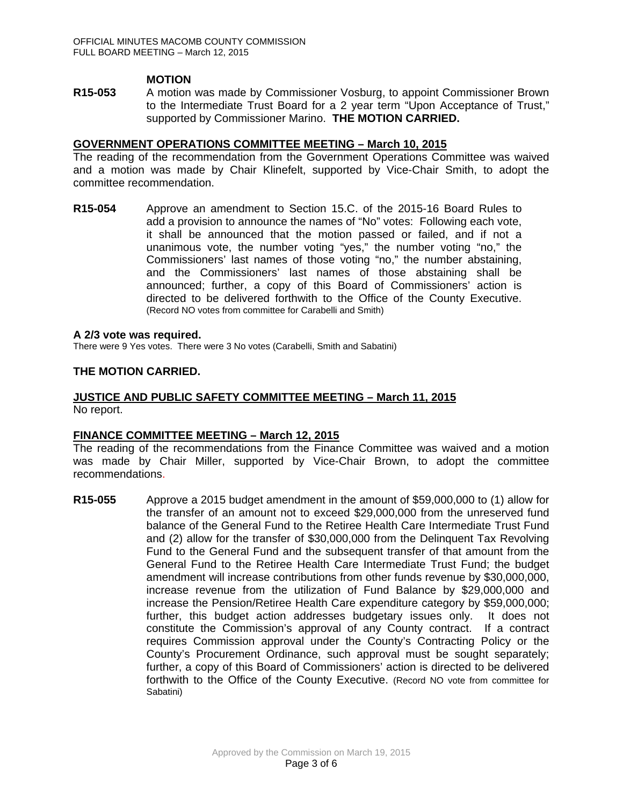## **MOTION**

**R15-053** A motion was made by Commissioner Vosburg, to appoint Commissioner Brown to the Intermediate Trust Board for a 2 year term "Upon Acceptance of Trust," supported by Commissioner Marino. **THE MOTION CARRIED.** 

## **GOVERNMENT OPERATIONS COMMITTEE MEETING – March 10, 2015**

The reading of the recommendation from the Government Operations Committee was waived and a motion was made by Chair Klinefelt, supported by Vice-Chair Smith, to adopt the committee recommendation.

**R15-054** Approve an amendment to Section 15.C. of the 2015-16 Board Rules to add a provision to announce the names of "No" votes: Following each vote, it shall be announced that the motion passed or failed, and if not a unanimous vote, the number voting "yes," the number voting "no," the Commissioners' last names of those voting "no," the number abstaining, and the Commissioners' last names of those abstaining shall be announced; further, a copy of this Board of Commissioners' action is directed to be delivered forthwith to the Office of the County Executive. (Record NO votes from committee for Carabelli and Smith)

#### **A 2/3 vote was required.**

There were 9 Yes votes. There were 3 No votes (Carabelli, Smith and Sabatini)

#### **THE MOTION CARRIED.**

#### **JUSTICE AND PUBLIC SAFETY COMMITTEE MEETING – March 11, 2015** No report.

## **FINANCE COMMITTEE MEETING – March 12, 2015**

The reading of the recommendations from the Finance Committee was waived and a motion was made by Chair Miller, supported by Vice-Chair Brown, to adopt the committee recommendations.

**R15-055** Approve a 2015 budget amendment in the amount of \$59,000,000 to (1) allow for the transfer of an amount not to exceed \$29,000,000 from the unreserved fund balance of the General Fund to the Retiree Health Care Intermediate Trust Fund and (2) allow for the transfer of \$30,000,000 from the Delinquent Tax Revolving Fund to the General Fund and the subsequent transfer of that amount from the General Fund to the Retiree Health Care Intermediate Trust Fund; the budget amendment will increase contributions from other funds revenue by \$30,000,000, increase revenue from the utilization of Fund Balance by \$29,000,000 and increase the Pension/Retiree Health Care expenditure category by \$59,000,000; further, this budget action addresses budgetary issues only. It does not constitute the Commission's approval of any County contract. If a contract requires Commission approval under the County's Contracting Policy or the County's Procurement Ordinance, such approval must be sought separately; further, a copy of this Board of Commissioners' action is directed to be delivered forthwith to the Office of the County Executive. (Record NO vote from committee for Sabatini)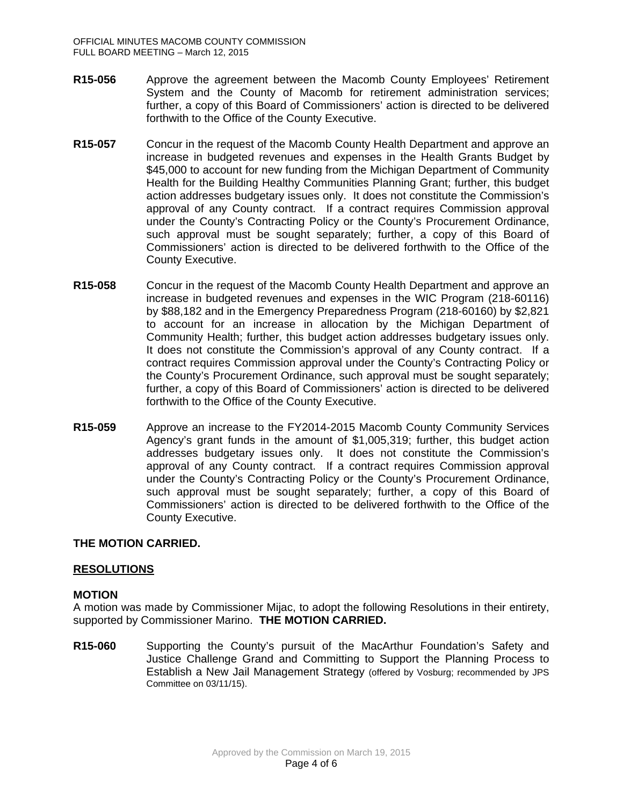- **R15-056** Approve the agreement between the Macomb County Employees' Retirement System and the County of Macomb for retirement administration services; further, a copy of this Board of Commissioners' action is directed to be delivered forthwith to the Office of the County Executive.
- **R15-057** Concur in the request of the Macomb County Health Department and approve an increase in budgeted revenues and expenses in the Health Grants Budget by \$45,000 to account for new funding from the Michigan Department of Community Health for the Building Healthy Communities Planning Grant; further, this budget action addresses budgetary issues only. It does not constitute the Commission's approval of any County contract. If a contract requires Commission approval under the County's Contracting Policy or the County's Procurement Ordinance, such approval must be sought separately; further, a copy of this Board of Commissioners' action is directed to be delivered forthwith to the Office of the County Executive.
- **R15-058** Concur in the request of the Macomb County Health Department and approve an increase in budgeted revenues and expenses in the WIC Program (218-60116) by \$88,182 and in the Emergency Preparedness Program (218-60160) by \$2,821 to account for an increase in allocation by the Michigan Department of Community Health; further, this budget action addresses budgetary issues only. It does not constitute the Commission's approval of any County contract. If a contract requires Commission approval under the County's Contracting Policy or the County's Procurement Ordinance, such approval must be sought separately; further, a copy of this Board of Commissioners' action is directed to be delivered forthwith to the Office of the County Executive.
- **R15-059** Approve an increase to the FY2014-2015 Macomb County Community Services Agency's grant funds in the amount of \$1,005,319; further, this budget action addresses budgetary issues only. It does not constitute the Commission's approval of any County contract. If a contract requires Commission approval under the County's Contracting Policy or the County's Procurement Ordinance, such approval must be sought separately; further, a copy of this Board of Commissioners' action is directed to be delivered forthwith to the Office of the County Executive.

# **THE MOTION CARRIED.**

## **RESOLUTIONS**

## **MOTION**

A motion was made by Commissioner Mijac, to adopt the following Resolutions in their entirety, supported by Commissioner Marino. **THE MOTION CARRIED.** 

**R15-060** Supporting the County's pursuit of the MacArthur Foundation's Safety and Justice Challenge Grand and Committing to Support the Planning Process to Establish a New Jail Management Strategy (offered by Vosburg; recommended by JPS Committee on 03/11/15).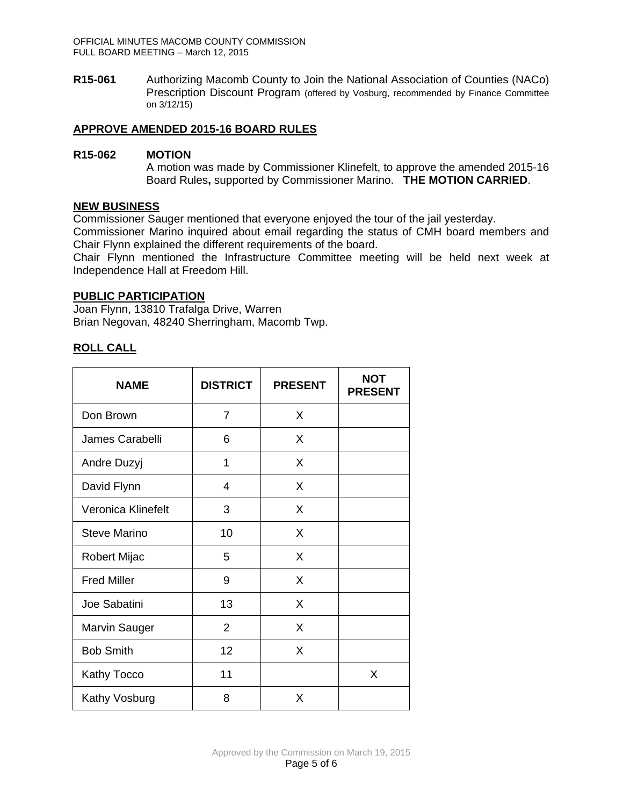**R15-061** Authorizing Macomb County to Join the National Association of Counties (NACo) Prescription Discount Program (offered by Vosburg, recommended by Finance Committee on 3/12/15)

# **APPROVE AMENDED 2015-16 BOARD RULES**

## **R15-062 MOTION**

A motion was made by Commissioner Klinefelt, to approve the amended 2015-16 Board Rules**,** supported by Commissioner Marino. **THE MOTION CARRIED**.

## **NEW BUSINESS**

Commissioner Sauger mentioned that everyone enjoyed the tour of the jail yesterday.

Commissioner Marino inquired about email regarding the status of CMH board members and Chair Flynn explained the different requirements of the board.

Chair Flynn mentioned the Infrastructure Committee meeting will be held next week at Independence Hall at Freedom Hill.

## **PUBLIC PARTICIPATION**

Joan Flynn, 13810 Trafalga Drive, Warren Brian Negovan, 48240 Sherringham, Macomb Twp.

## **ROLL CALL**

| <b>NAME</b>          | <b>DISTRICT</b> | <b>PRESENT</b> | <b>NOT</b><br><b>PRESENT</b> |
|----------------------|-----------------|----------------|------------------------------|
| Don Brown            | 7               | X              |                              |
| James Carabelli      | 6               | X              |                              |
| Andre Duzyj          | 1               | X              |                              |
| David Flynn          | $\overline{4}$  | X              |                              |
| Veronica Klinefelt   | 3               | X              |                              |
| Steve Marino         | 10              | X              |                              |
| <b>Robert Mijac</b>  | 5               | X              |                              |
| <b>Fred Miller</b>   | 9               | X              |                              |
| Joe Sabatini         | 13              | X              |                              |
| <b>Marvin Sauger</b> | 2               | X              |                              |
| <b>Bob Smith</b>     | 12              | X              |                              |
| Kathy Tocco          | 11              |                | X                            |
| Kathy Vosburg        | 8               | X              |                              |